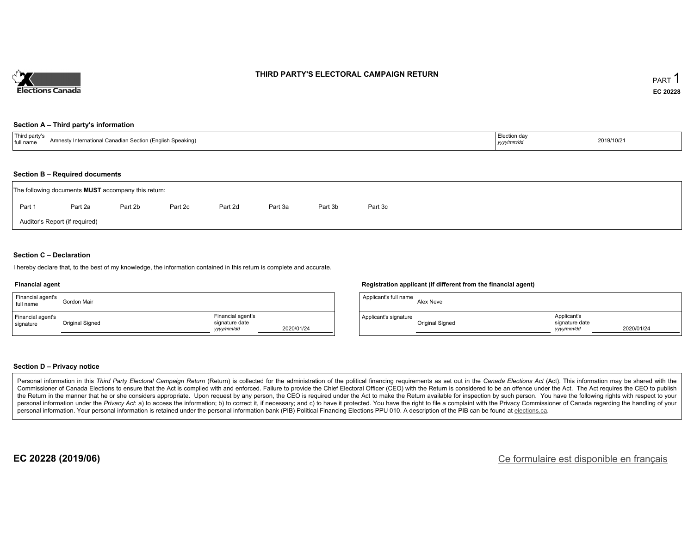

## **THIRD PARTY'S ELECTORAL CAMPAIGN RETURN**

#### **Section A – Third party's information**

| Third party's<br>Amnesty International Canadian Section (English Speaking)<br>full name | ⊩Election day<br>yyyy/mm/dd | 2019/10/21 |
|-----------------------------------------------------------------------------------------|-----------------------------|------------|
|-----------------------------------------------------------------------------------------|-----------------------------|------------|

#### **Section B – Required documents**

|                                | The following documents <b>MUST</b> accompany this return: |         |         |         |         |         |         |  |  |  |  |  |  |  |
|--------------------------------|------------------------------------------------------------|---------|---------|---------|---------|---------|---------|--|--|--|--|--|--|--|
| Part 1                         | Part 2a                                                    | Part 2b | Part 2c | Part 2d | Part 3a | Part 3b | Part 3c |  |  |  |  |  |  |  |
| Auditor's Report (if required) |                                                            |         |         |         |         |         |         |  |  |  |  |  |  |  |

### **Section C – Declaration**

I hereby declare that, to the best of my knowledge, the information contained in this return is complete and accurate.

#### **Financial agent**

| Financial agent's<br>full name | Gordon Mair     |                                                   |            |
|--------------------------------|-----------------|---------------------------------------------------|------------|
| Financial agent's<br>signature | Original Signed | Financial agent's<br>signature date<br>yyyy/mm/dd | 2020/01/24 |

### **Registration applicant (if different from the financial agent)**

| Applicant's full name | Alex Neve       |                                             |            |
|-----------------------|-----------------|---------------------------------------------|------------|
| Applicant's signature | Original Signed | Applicant's<br>signature date<br>vyyy/mm/dd | 2020/01/24 |

### **Section D – Privacy notice**

Personal information in this Third Party Electoral Campaign Return (Return) is collected for the administration of the political financing requirements as set out in the Canada Elections Act (Act). This information may be Commissioner of Canada Elections to ensure that the Act is complied with and enforced. Failure to provide the Chief Electoral Officer (CEO) with the Return is considered to be an offence under the Act. The Act requires the the Return in the manner that he or she considers appropriate. Upon request by any person, the CEO is required under the Act to make the Return available for inspection by such person. You have the following rights with re personal information under the Privacy Act: a) to access the information; b) to correct it, if necessary; and c) to have it protected. You have the right to file a complaint with the Privacy Commissioner of Canada regardin personal information. Your personal information is retained under the personal information bank (PIB) Political Financing Elections PPU 010. A description of the PIB can be found at elections.ca.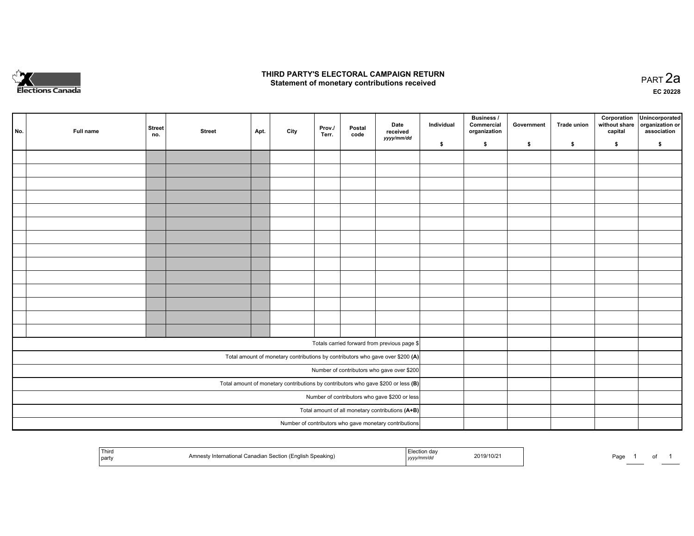

## **THIRD PARTY'S ELECTORAL CAMPAIGN RETURN HIRD PARTY'S ELECTORAL CAMPAIGN RETURN<br>Statement of monetary contributions received PART 2a PART 2a**

**EC 20228**

| No. | Full name | <b>Street</b><br>no. | <b>Street</b> | Apt. | City | Prov./<br>Terr. | Postal<br>code | Date<br>received                                                                    | Individual | <b>Business /</b><br>Commercial<br>organization | Government | Trade union | Corporation<br>without share<br>capital | Unincorporated<br>organization or<br>association |
|-----|-----------|----------------------|---------------|------|------|-----------------|----------------|-------------------------------------------------------------------------------------|------------|-------------------------------------------------|------------|-------------|-----------------------------------------|--------------------------------------------------|
|     |           |                      |               |      |      |                 |                | yyyy/mm/dd                                                                          | \$         | \$                                              | \$         | \$          | \$                                      | \$                                               |
|     |           |                      |               |      |      |                 |                |                                                                                     |            |                                                 |            |             |                                         |                                                  |
|     |           |                      |               |      |      |                 |                |                                                                                     |            |                                                 |            |             |                                         |                                                  |
|     |           |                      |               |      |      |                 |                |                                                                                     |            |                                                 |            |             |                                         |                                                  |
|     |           |                      |               |      |      |                 |                |                                                                                     |            |                                                 |            |             |                                         |                                                  |
|     |           |                      |               |      |      |                 |                |                                                                                     |            |                                                 |            |             |                                         |                                                  |
|     |           |                      |               |      |      |                 |                |                                                                                     |            |                                                 |            |             |                                         |                                                  |
|     |           |                      |               |      |      |                 |                |                                                                                     |            |                                                 |            |             |                                         |                                                  |
|     |           |                      |               |      |      |                 |                |                                                                                     |            |                                                 |            |             |                                         |                                                  |
|     |           |                      |               |      |      |                 |                |                                                                                     |            |                                                 |            |             |                                         |                                                  |
|     |           |                      |               |      |      |                 |                |                                                                                     |            |                                                 |            |             |                                         |                                                  |
|     |           |                      |               |      |      |                 |                |                                                                                     |            |                                                 |            |             |                                         |                                                  |
|     |           |                      |               |      |      |                 |                |                                                                                     |            |                                                 |            |             |                                         |                                                  |
|     |           |                      |               |      |      |                 |                |                                                                                     |            |                                                 |            |             |                                         |                                                  |
|     |           |                      |               |      |      |                 |                |                                                                                     |            |                                                 |            |             |                                         |                                                  |
|     |           |                      |               |      |      |                 |                | Totals carried forward from previous page \$                                        |            |                                                 |            |             |                                         |                                                  |
|     |           |                      |               |      |      |                 |                | Total amount of monetary contributions by contributors who gave over \$200 (A)      |            |                                                 |            |             |                                         |                                                  |
|     |           |                      |               |      |      |                 |                | Number of contributors who gave over \$200                                          |            |                                                 |            |             |                                         |                                                  |
|     |           |                      |               |      |      |                 |                | Total amount of monetary contributions by contributors who gave \$200 or less $(B)$ |            |                                                 |            |             |                                         |                                                  |
|     |           |                      |               |      |      |                 |                | Number of contributors who gave \$200 or less                                       |            |                                                 |            |             |                                         |                                                  |
|     |           |                      |               |      |      |                 |                | Total amount of all monetary contributions (A+B)                                    |            |                                                 |            |             |                                         |                                                  |
|     |           |                      |               |      |      |                 |                | Number of contributors who gave monetary contributions                              |            |                                                 |            |             |                                         |                                                  |

| <b>Third</b><br>  party | n (English Speaking).<br>v International Canadian Section i<br>Amnestv | on dav…<br>2019/10/21<br>nm/a<br>,,,,, | Page<br>$\cdot$ |
|-------------------------|------------------------------------------------------------------------|----------------------------------------|-----------------|
|-------------------------|------------------------------------------------------------------------|----------------------------------------|-----------------|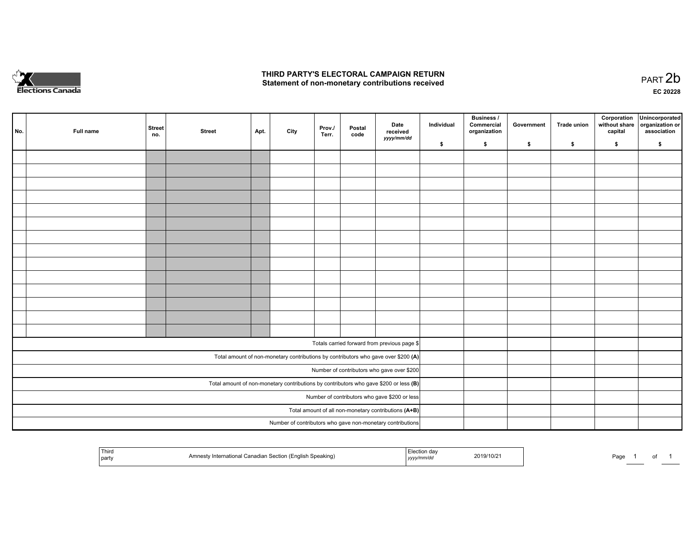

# **THIRD PARTY'S ELECTORAL CAMPAIGN RETURN**  THIRD PARTY'S ELECTORAL CAMPAIGN RETURN<br>Statement of non-monetary contributions received

| No. | Full name | Street<br>no. | <b>Street</b>                                                                           | Apt.                                          | City | Prov./<br>Terr. | Postal<br>code | Date<br>received<br>yyyy/mm/dd                                                     | Individual | <b>Business /</b><br>Commercial<br>organization | Government | Trade union | Corporation<br>without share<br>capital | Unincorporated<br>organization or<br>association |
|-----|-----------|---------------|-----------------------------------------------------------------------------------------|-----------------------------------------------|------|-----------------|----------------|------------------------------------------------------------------------------------|------------|-------------------------------------------------|------------|-------------|-----------------------------------------|--------------------------------------------------|
|     |           |               |                                                                                         |                                               |      |                 |                |                                                                                    | \$         | \$                                              | \$         | \$          | \$                                      | \$                                               |
|     |           |               |                                                                                         |                                               |      |                 |                |                                                                                    |            |                                                 |            |             |                                         |                                                  |
|     |           |               |                                                                                         |                                               |      |                 |                |                                                                                    |            |                                                 |            |             |                                         |                                                  |
|     |           |               |                                                                                         |                                               |      |                 |                |                                                                                    |            |                                                 |            |             |                                         |                                                  |
|     |           |               |                                                                                         |                                               |      |                 |                |                                                                                    |            |                                                 |            |             |                                         |                                                  |
|     |           |               |                                                                                         |                                               |      |                 |                |                                                                                    |            |                                                 |            |             |                                         |                                                  |
|     |           |               |                                                                                         |                                               |      |                 |                |                                                                                    |            |                                                 |            |             |                                         |                                                  |
|     |           |               |                                                                                         |                                               |      |                 |                |                                                                                    |            |                                                 |            |             |                                         |                                                  |
|     |           |               |                                                                                         |                                               |      |                 |                |                                                                                    |            |                                                 |            |             |                                         |                                                  |
|     |           |               |                                                                                         |                                               |      |                 |                |                                                                                    |            |                                                 |            |             |                                         |                                                  |
|     |           |               |                                                                                         |                                               |      |                 |                |                                                                                    |            |                                                 |            |             |                                         |                                                  |
|     |           |               |                                                                                         |                                               |      |                 |                |                                                                                    |            |                                                 |            |             |                                         |                                                  |
|     |           |               |                                                                                         |                                               |      |                 |                |                                                                                    |            |                                                 |            |             |                                         |                                                  |
|     |           |               |                                                                                         |                                               |      |                 |                |                                                                                    |            |                                                 |            |             |                                         |                                                  |
|     |           |               |                                                                                         |                                               |      |                 |                |                                                                                    |            |                                                 |            |             |                                         |                                                  |
|     |           |               |                                                                                         |                                               |      |                 |                |                                                                                    |            |                                                 |            |             |                                         |                                                  |
|     |           |               |                                                                                         |                                               |      |                 |                | Totals carried forward from previous page \$                                       |            |                                                 |            |             |                                         |                                                  |
|     |           |               |                                                                                         |                                               |      |                 |                | Total amount of non-monetary contributions by contributors who gave over \$200 (A) |            |                                                 |            |             |                                         |                                                  |
|     |           |               |                                                                                         |                                               |      |                 |                | Number of contributors who gave over \$200                                         |            |                                                 |            |             |                                         |                                                  |
|     |           |               | Total amount of non-monetary contributions by contributors who gave \$200 or less $(B)$ |                                               |      |                 |                |                                                                                    |            |                                                 |            |             |                                         |                                                  |
|     |           |               |                                                                                         | Number of contributors who gave \$200 or less |      |                 |                |                                                                                    |            |                                                 |            |             |                                         |                                                  |
|     |           |               |                                                                                         |                                               |      |                 |                | Total amount of all non-monetary contributions (A+B)                               |            |                                                 |            |             |                                         |                                                  |
|     |           |               |                                                                                         |                                               |      |                 |                | Number of contributors who gave non-monetary contributions                         |            |                                                 |            |             |                                         |                                                  |
|     |           |               |                                                                                         |                                               |      |                 |                |                                                                                    |            |                                                 |            |             |                                         |                                                  |

| Third<br>'ר Speaking)<br>andinn Continn<br>(English<br>wanauran.<br>' part\ | 2019/10/2<br>,,,,, | ാaα⊾ |
|-----------------------------------------------------------------------------|--------------------|------|
|-----------------------------------------------------------------------------|--------------------|------|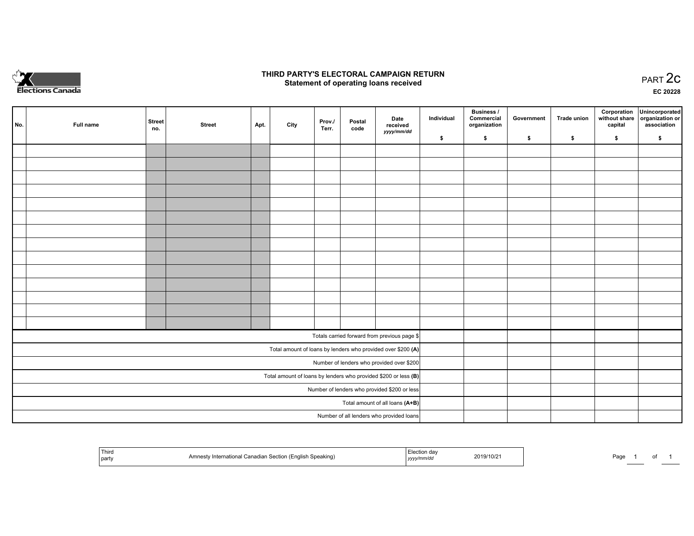

## **THIRD PARTY'S ELECTORAL CAMPAIGN RETURN STATE:** PRACT OF OPPRESS TO PART 2C STATE STATE STATE STATE STATE STATE STATE STATE STATE STATE STATE STATE STA<br>PART 2C Statement of operating loans received

**EC 20228**

|     |           | <b>Street</b> |               |      |      | Prov./ | Postal | Date                                                            | Individual | <b>Business /</b><br>Commercial | Government | Trade union | Corporation | Unincorporated<br>without share   organization or |
|-----|-----------|---------------|---------------|------|------|--------|--------|-----------------------------------------------------------------|------------|---------------------------------|------------|-------------|-------------|---------------------------------------------------|
| No. | Full name | no.           | <b>Street</b> | Apt. | City | Terr.  | code   | received<br>yyyy/mm/dd                                          |            | organization                    |            |             | capital     | association                                       |
|     |           |               |               |      |      |        |        |                                                                 | \$         | \$                              | \$         | \$          | \$          | \$                                                |
|     |           |               |               |      |      |        |        |                                                                 |            |                                 |            |             |             |                                                   |
|     |           |               |               |      |      |        |        |                                                                 |            |                                 |            |             |             |                                                   |
|     |           |               |               |      |      |        |        |                                                                 |            |                                 |            |             |             |                                                   |
|     |           |               |               |      |      |        |        |                                                                 |            |                                 |            |             |             |                                                   |
|     |           |               |               |      |      |        |        |                                                                 |            |                                 |            |             |             |                                                   |
|     |           |               |               |      |      |        |        |                                                                 |            |                                 |            |             |             |                                                   |
|     |           |               |               |      |      |        |        |                                                                 |            |                                 |            |             |             |                                                   |
|     |           |               |               |      |      |        |        |                                                                 |            |                                 |            |             |             |                                                   |
|     |           |               |               |      |      |        |        |                                                                 |            |                                 |            |             |             |                                                   |
|     |           |               |               |      |      |        |        |                                                                 |            |                                 |            |             |             |                                                   |
|     |           |               |               |      |      |        |        |                                                                 |            |                                 |            |             |             |                                                   |
|     |           |               |               |      |      |        |        |                                                                 |            |                                 |            |             |             |                                                   |
|     |           |               |               |      |      |        |        |                                                                 |            |                                 |            |             |             |                                                   |
|     |           |               |               |      |      |        |        |                                                                 |            |                                 |            |             |             |                                                   |
|     |           |               |               |      |      |        |        |                                                                 |            |                                 |            |             |             |                                                   |
|     |           |               |               |      |      |        |        | Totals carried forward from previous page \$                    |            |                                 |            |             |             |                                                   |
|     |           |               |               |      |      |        |        | Total amount of loans by lenders who provided over \$200 (A)    |            |                                 |            |             |             |                                                   |
|     |           |               |               |      |      |        |        | Number of lenders who provided over \$200                       |            |                                 |            |             |             |                                                   |
|     |           |               |               |      |      |        |        | Total amount of loans by lenders who provided \$200 or less (B) |            |                                 |            |             |             |                                                   |
|     |           |               |               |      |      |        |        | Number of lenders who provided \$200 or less                    |            |                                 |            |             |             |                                                   |
|     |           |               |               |      |      |        |        | Total amount of all loans (A+B)                                 |            |                                 |            |             |             |                                                   |
|     |           |               |               |      |      |        |        | Number of all lenders who provided loans                        |            |                                 |            |             |             |                                                   |

|  | <b>TL:-</b><br>,,,,,<br>' part⊾ | akind<br>ייי | . | /119ھ | Pagu |  | . |  |
|--|---------------------------------|--------------|---|-------|------|--|---|--|
|--|---------------------------------|--------------|---|-------|------|--|---|--|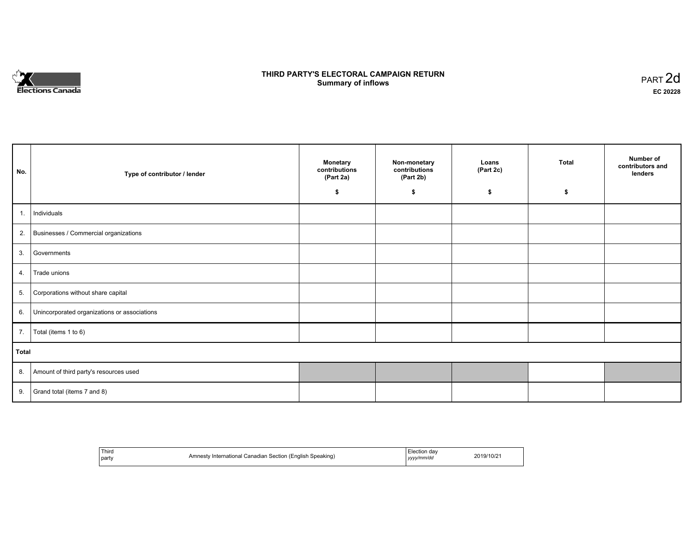

# **THIRD PARTY'S ELECTORAL CAMPAIGN RETURN S** ELECTORAL CAMPAIGN RETURN<br>Summary of inflows PART 2d

٦

| No.   | Type of contributor / lender                    | Monetary<br>contributions<br>(Part 2a) | Non-monetary<br>contributions<br>(Part 2b) | Loans<br>(Part 2c) | Total | Number of<br>contributors and<br>lenders |
|-------|-------------------------------------------------|----------------------------------------|--------------------------------------------|--------------------|-------|------------------------------------------|
|       |                                                 | \$                                     | \$                                         | \$                 | S.    |                                          |
| 1.    | Individuals                                     |                                        |                                            |                    |       |                                          |
|       | 2. Businesses / Commercial organizations        |                                        |                                            |                    |       |                                          |
| 3.    | Governments                                     |                                        |                                            |                    |       |                                          |
| 4.    | Trade unions                                    |                                        |                                            |                    |       |                                          |
| 5.    | Corporations without share capital              |                                        |                                            |                    |       |                                          |
|       | 6. Unincorporated organizations or associations |                                        |                                            |                    |       |                                          |
|       | 7.   Total (items 1 to 6)                       |                                        |                                            |                    |       |                                          |
| Total |                                                 |                                        |                                            |                    |       |                                          |
|       | 8. Amount of third party's resources used       |                                        |                                            |                    |       |                                          |
| 9.    | Grand total (items 7 and 8)                     |                                        |                                            |                    |       |                                          |

| Third<br>party | Speaking)<br>/ International Canadian Section (English<br>⊿mnestv∴<br>: ט | Election dav<br>yyyy/mm/dd<br>,,,, | 2019/10/21 |
|----------------|---------------------------------------------------------------------------|------------------------------------|------------|
|----------------|---------------------------------------------------------------------------|------------------------------------|------------|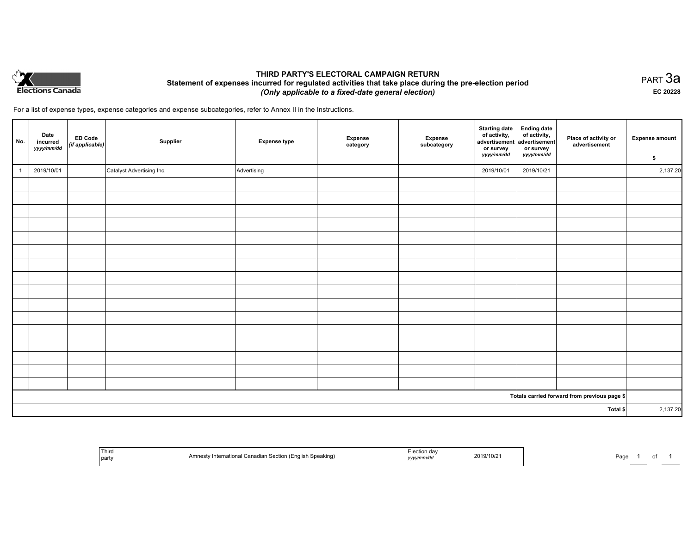

# **THIRD PARTY'S ELECTORAL CAMPAIGN RETURN Statement of expenses incurred for regulated activities that take place during the pre-election period**  *(Only applicable to a fixed-date general election)*

PART 3a **EC 20228**

For a list of expense types, expense categories and expense subcategories, refer to Annex II in the Instructions.

| No.          | Date<br>incurred<br>yyyy/mm/dd | ED Code<br>(if applicable) | Supplier                  | <b>Expense type</b> | <b>Expense</b><br>category | Expense<br>subcategory | <b>Starting date</b><br>of activity,<br>advertisement<br>or survey<br>yyyy/mm/dd | <b>Ending date</b><br>of activity,<br>advertisement<br>or survey<br>yyyy/mm/dd | Place of activity or<br>advertisement        | <b>Expense amount</b><br>\$ |
|--------------|--------------------------------|----------------------------|---------------------------|---------------------|----------------------------|------------------------|----------------------------------------------------------------------------------|--------------------------------------------------------------------------------|----------------------------------------------|-----------------------------|
| $\mathbf{1}$ | 2019/10/01                     |                            | Catalyst Advertising Inc. | Advertising         |                            |                        | 2019/10/01                                                                       | 2019/10/21                                                                     |                                              | 2,137.20                    |
|              |                                |                            |                           |                     |                            |                        |                                                                                  |                                                                                |                                              |                             |
|              |                                |                            |                           |                     |                            |                        |                                                                                  |                                                                                |                                              |                             |
|              |                                |                            |                           |                     |                            |                        |                                                                                  |                                                                                |                                              |                             |
|              |                                |                            |                           |                     |                            |                        |                                                                                  |                                                                                |                                              |                             |
|              |                                |                            |                           |                     |                            |                        |                                                                                  |                                                                                |                                              |                             |
|              |                                |                            |                           |                     |                            |                        |                                                                                  |                                                                                |                                              |                             |
|              |                                |                            |                           |                     |                            |                        |                                                                                  |                                                                                |                                              |                             |
|              |                                |                            |                           |                     |                            |                        |                                                                                  |                                                                                |                                              |                             |
|              |                                |                            |                           |                     |                            |                        |                                                                                  |                                                                                |                                              |                             |
|              |                                |                            |                           |                     |                            |                        |                                                                                  |                                                                                |                                              |                             |
|              |                                |                            |                           |                     |                            |                        |                                                                                  |                                                                                |                                              |                             |
|              |                                |                            |                           |                     |                            |                        |                                                                                  |                                                                                |                                              |                             |
|              |                                |                            |                           |                     |                            |                        |                                                                                  |                                                                                |                                              |                             |
|              |                                |                            |                           |                     |                            |                        |                                                                                  |                                                                                |                                              |                             |
|              |                                |                            |                           |                     |                            |                        |                                                                                  |                                                                                |                                              |                             |
|              |                                |                            |                           |                     |                            |                        |                                                                                  |                                                                                |                                              |                             |
|              |                                |                            |                           |                     |                            |                        |                                                                                  |                                                                                | Totals carried forward from previous page \$ |                             |
| Total \$     |                                |                            |                           |                     |                            | 2,137.20               |                                                                                  |                                                                                |                                              |                             |

| Third<br>  party | Section<br>≅ Speaking, | ,,,,, | 2019/10/21 | ∍.<br>- au |
|------------------|------------------------|-------|------------|------------|
|------------------|------------------------|-------|------------|------------|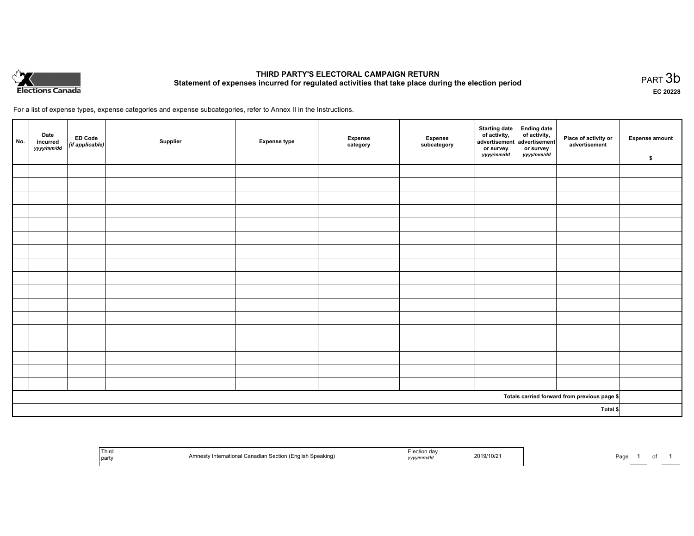

# **THIRD PARTY'S ELECTORAL CAMPAIGN RETURN Statement of expenses incurred for regulated activities that take place during the election period**<br>PART  $3b$

**EC 20228**

For a list of expense types, expense categories and expense subcategories, refer to Annex II in the Instructions.

| No.      | Date<br>incurred<br>yyyy/mm/dd | ED Code<br>(if applicable) | Supplier | <b>Expense type</b> | Expense<br>category | Expense<br>subcategory | Starting date Ending date<br>of activity, of activity,<br>advertisement advertisement<br>or survey<br>yyyy/mm/dd | or survey<br>yyyy/mm/dd | Place of activity or<br>advertisement        | <b>Expense amount</b><br>\$ |
|----------|--------------------------------|----------------------------|----------|---------------------|---------------------|------------------------|------------------------------------------------------------------------------------------------------------------|-------------------------|----------------------------------------------|-----------------------------|
|          |                                |                            |          |                     |                     |                        |                                                                                                                  |                         |                                              |                             |
|          |                                |                            |          |                     |                     |                        |                                                                                                                  |                         |                                              |                             |
|          |                                |                            |          |                     |                     |                        |                                                                                                                  |                         |                                              |                             |
|          |                                |                            |          |                     |                     |                        |                                                                                                                  |                         |                                              |                             |
|          |                                |                            |          |                     |                     |                        |                                                                                                                  |                         |                                              |                             |
|          |                                |                            |          |                     |                     |                        |                                                                                                                  |                         |                                              |                             |
|          |                                |                            |          |                     |                     |                        |                                                                                                                  |                         |                                              |                             |
|          |                                |                            |          |                     |                     |                        |                                                                                                                  |                         |                                              |                             |
|          |                                |                            |          |                     |                     |                        |                                                                                                                  |                         |                                              |                             |
|          |                                |                            |          |                     |                     |                        |                                                                                                                  |                         |                                              |                             |
|          |                                |                            |          |                     |                     |                        |                                                                                                                  |                         |                                              |                             |
|          |                                |                            |          |                     |                     |                        |                                                                                                                  |                         |                                              |                             |
|          |                                |                            |          |                     |                     |                        |                                                                                                                  |                         |                                              |                             |
|          |                                |                            |          |                     |                     |                        |                                                                                                                  |                         |                                              |                             |
|          |                                |                            |          |                     |                     |                        |                                                                                                                  |                         |                                              |                             |
|          |                                |                            |          |                     |                     |                        |                                                                                                                  |                         |                                              |                             |
|          |                                |                            |          |                     |                     |                        |                                                                                                                  |                         |                                              |                             |
|          |                                |                            |          |                     |                     |                        |                                                                                                                  |                         | Totals carried forward from previous page \$ |                             |
| Total \$ |                                |                            |          |                     |                     |                        |                                                                                                                  |                         |                                              |                             |

| Third<br>  party | Section<br>akino<br>. (English '<br>anadia<br>המת<br>erna<br>ັ | 2019/10/2<br>чулппи ис<br>, , , , , | ⊶כ<br>-au |
|------------------|----------------------------------------------------------------|-------------------------------------|-----------|
|------------------|----------------------------------------------------------------|-------------------------------------|-----------|